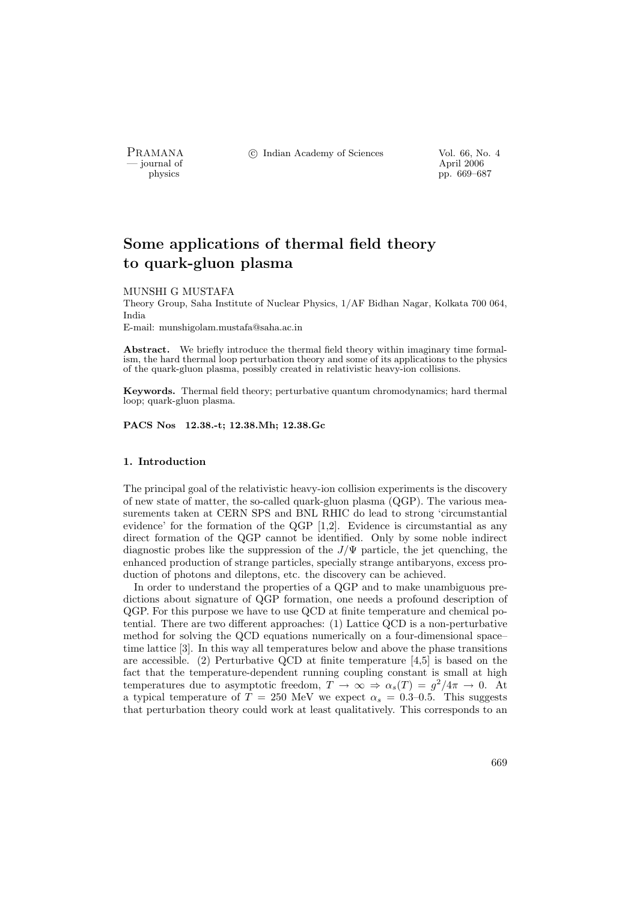- journal of<br>physics

PRAMANA <sup>C</sup> Indian Academy of Sciences Vol. 66, No. 4<br>
iournal of April 2006

pp. 669–687

# Some applications of thermal field theory to quark-gluon plasma

#### MUNSHI G MUSTAFA

Theory Group, Saha Institute of Nuclear Physics, 1/AF Bidhan Nagar, Kolkata 700 064, India

E-mail: munshigolam.mustafa@saha.ac.in

Abstract. We briefly introduce the thermal field theory within imaginary time formalism, the hard thermal loop perturbation theory and some of its applications to the physics of the quark-gluon plasma, possibly created in relativistic heavy-ion collisions.

Keywords. Thermal field theory; perturbative quantum chromodynamics; hard thermal loop; quark-gluon plasma.

PACS Nos 12.38.-t; 12.38.Mh; 12.38.Gc

# 1. Introduction

The principal goal of the relativistic heavy-ion collision experiments is the discovery of new state of matter, the so-called quark-gluon plasma (QGP). The various measurements taken at CERN SPS and BNL RHIC do lead to strong 'circumstantial evidence' for the formation of the QGP [1,2]. Evidence is circumstantial as any direct formation of the QGP cannot be identified. Only by some noble indirect diagnostic probes like the suppression of the  $J/\Psi$  particle, the jet quenching, the enhanced production of strange particles, specially strange antibaryons, excess production of photons and dileptons, etc. the discovery can be achieved.

In order to understand the properties of a QGP and to make unambiguous predictions about signature of QGP formation, one needs a profound description of QGP. For this purpose we have to use QCD at finite temperature and chemical potential. There are two different approaches: (1) Lattice QCD is a non-perturbative method for solving the QCD equations numerically on a four-dimensional space– time lattice [3]. In this way all temperatures below and above the phase transitions are accessible. (2) Perturbative QCD at finite temperature [4,5] is based on the fact that the temperature-dependent running coupling constant is small at high temperatures due to asymptotic freedom,  $T \to \infty \Rightarrow \alpha_s(T) = g^2/4\pi \to 0$ . At a typical temperature of  $T = 250$  MeV we expect  $\alpha_s = 0.3{\text -}0.5$ . This suggests that perturbation theory could work at least qualitatively. This corresponds to an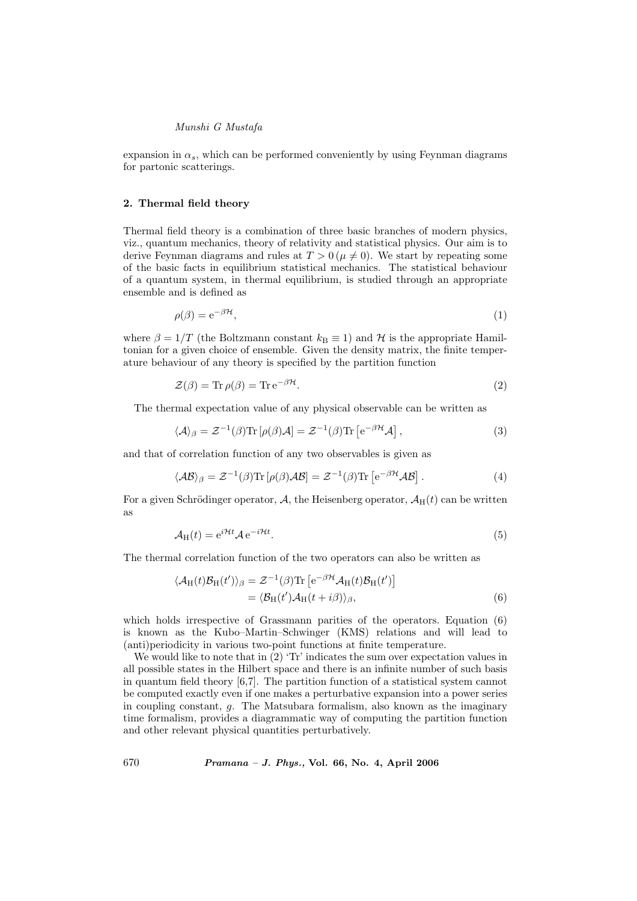expansion in  $\alpha_s$ , which can be performed conveniently by using Feynman diagrams for partonic scatterings.

# 2. Thermal field theory

Thermal field theory is a combination of three basic branches of modern physics, viz., quantum mechanics, theory of relativity and statistical physics. Our aim is to derive Feynman diagrams and rules at  $T > 0$  ( $\mu \neq 0$ ). We start by repeating some of the basic facts in equilibrium statistical mechanics. The statistical behaviour of a quantum system, in thermal equilibrium, is studied through an appropriate ensemble and is defined as

$$
\rho(\beta) = e^{-\beta \mathcal{H}},\tag{1}
$$

where  $\beta = 1/T$  (the Boltzmann constant  $k_B \equiv 1$ ) and H is the appropriate Hamiltonian for a given choice of ensemble. Given the density matrix, the finite temperature behaviour of any theory is specified by the partition function

$$
\mathcal{Z}(\beta) = \text{Tr}\,\rho(\beta) = \text{Tr}\,\mathrm{e}^{-\beta\mathcal{H}}.\tag{2}
$$

The thermal expectation value of any physical observable can be written as

$$
\langle A \rangle_{\beta} = \mathcal{Z}^{-1}(\beta) \text{Tr} \left[ \rho(\beta) A \right] = \mathcal{Z}^{-1}(\beta) \text{Tr} \left[ e^{-\beta \mathcal{H}} A \right], \tag{3}
$$

and that of correlation function of any two observables is given as

$$
\langle A\mathcal{B}\rangle_{\beta} = \mathcal{Z}^{-1}(\beta) \text{Tr} \left[\rho(\beta) A\mathcal{B}\right] = \mathcal{Z}^{-1}(\beta) \text{Tr} \left[e^{-\beta \mathcal{H}} A\mathcal{B}\right]. \tag{4}
$$

For a given Schrödinger operator, A, the Heisenberg operator,  $A_H(t)$  can be written as

$$
\mathcal{A}_{\mathrm{H}}(t) = e^{i\mathcal{H}t} \mathcal{A} e^{-i\mathcal{H}t}.\tag{5}
$$

The thermal correlation function of the two operators can also be written as

$$
\langle \mathcal{A}_{H}(t)\mathcal{B}_{H}(t')\rangle_{\beta} = \mathcal{Z}^{-1}(\beta) \text{Tr} \left[e^{-\beta \mathcal{H}} \mathcal{A}_{H}(t) \mathcal{B}_{H}(t')\right]
$$

$$
= \langle \mathcal{B}_{H}(t') \mathcal{A}_{H}(t + i\beta)\rangle_{\beta}, \tag{6}
$$

which holds irrespective of Grassmann parities of the operators. Equation (6) is known as the Kubo–Martin–Schwinger (KMS) relations and will lead to (anti)periodicity in various two-point functions at finite temperature.

We would like to note that in  $(2)$  'Tr' indicates the sum over expectation values in all possible states in the Hilbert space and there is an infinite number of such basis in quantum field theory [6,7]. The partition function of a statistical system cannot be computed exactly even if one makes a perturbative expansion into a power series in coupling constant,  $g$ . The Matsubara formalism, also known as the imaginary time formalism, provides a diagrammatic way of computing the partition function and other relevant physical quantities perturbatively.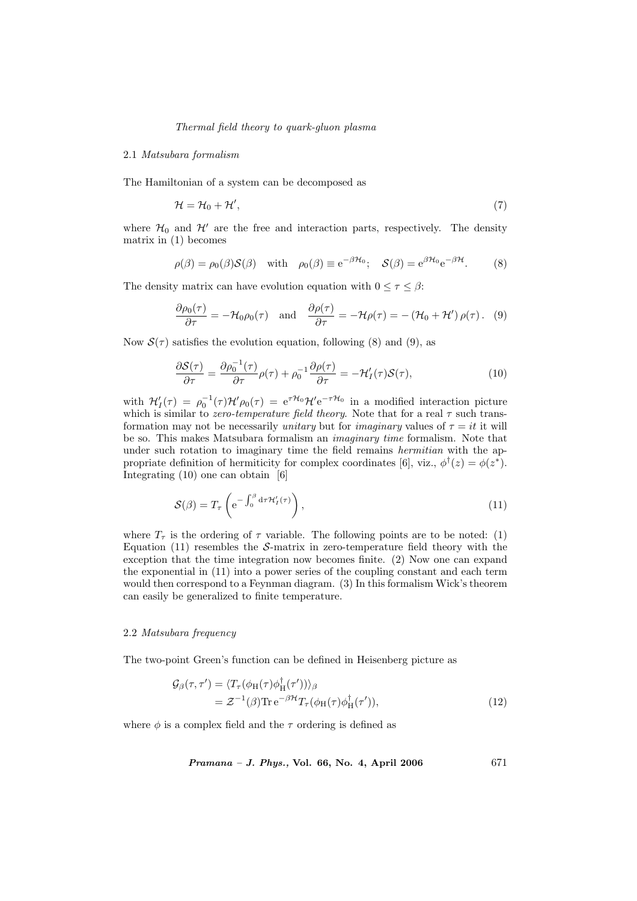## 2.1 Matsubara formalism

The Hamiltonian of a system can be decomposed as

$$
\mathcal{H} = \mathcal{H}_0 + \mathcal{H}',\tag{7}
$$

where  $\mathcal{H}_0$  and  $\mathcal{H}'$  are the free and interaction parts, respectively. The density matrix in (1) becomes

$$
\rho(\beta) = \rho_0(\beta)S(\beta) \quad \text{with} \quad \rho_0(\beta) \equiv e^{-\beta \mathcal{H}_0}; \quad S(\beta) = e^{\beta \mathcal{H}_0} e^{-\beta \mathcal{H}}.
$$
 (8)

The density matrix can have evolution equation with  $0 \leq \tau \leq \beta$ :

$$
\frac{\partial \rho_0(\tau)}{\partial \tau} = -\mathcal{H}_0 \rho_0(\tau) \quad \text{and} \quad \frac{\partial \rho(\tau)}{\partial \tau} = -\mathcal{H} \rho(\tau) = -\left(\mathcal{H}_0 + \mathcal{H}'\right) \rho(\tau). \tag{9}
$$

Now  $\mathcal{S}(\tau)$  satisfies the evolution equation, following (8) and (9), as

$$
\frac{\partial S(\tau)}{\partial \tau} = \frac{\partial \rho_0^{-1}(\tau)}{\partial \tau} \rho(\tau) + \rho_0^{-1} \frac{\partial \rho(\tau)}{\partial \tau} = -\mathcal{H}'_I(\tau) S(\tau),\tag{10}
$$

with  $\mathcal{H}'_I(\tau) = \rho_0^{-1}(\tau)\mathcal{H}'\rho_0(\tau) = e^{\tau\mathcal{H}_0}\mathcal{H}'e^{-\tau\mathcal{H}_0}$  in a modified interaction picture which is similar to *zero-temperature field theory*. Note that for a real  $\tau$  such transformation may not be necessarily unitary but for *imaginary* values of  $\tau = it$  it will be so. This makes Matsubara formalism an imaginary time formalism. Note that under such rotation to imaginary time the field remains *hermitian* with the appropriate definition of hermiticity for complex coordinates [6], viz.,  $\phi^{\dagger}(z) = \phi(z^*)$ . Integrating (10) one can obtain [6]

$$
S(\beta) = T_{\tau} \left( e^{-\int_0^{\beta} d\tau \mathcal{H}'_I(\tau)} \right), \qquad (11)
$$

where  $T_{\tau}$  is the ordering of  $\tau$  variable. The following points are to be noted: (1) Equation  $(11)$  resembles the S-matrix in zero-temperature field theory with the exception that the time integration now becomes finite. (2) Now one can expand the exponential in (11) into a power series of the coupling constant and each term would then correspond to a Feynman diagram. (3) In this formalism Wick's theorem can easily be generalized to finite temperature.

#### 2.2 Matsubara frequency

The two-point Green's function can be defined in Heisenberg picture as

$$
\mathcal{G}_{\beta}(\tau,\tau') = \langle T_{\tau}(\phi_{H}(\tau)\phi_{H}^{\dagger}(\tau'))\rangle_{\beta}
$$
  
=  $\mathcal{Z}^{-1}(\beta)\text{Tr}e^{-\beta\mathcal{H}}T_{\tau}(\phi_{H}(\tau)\phi_{H}^{\dagger}(\tau'))$ , (12)

where  $\phi$  is a complex field and the  $\tau$  ordering is defined as

Pramana – J. Phys., Vol. 66, No. 4, April 2006

\n
$$
671
$$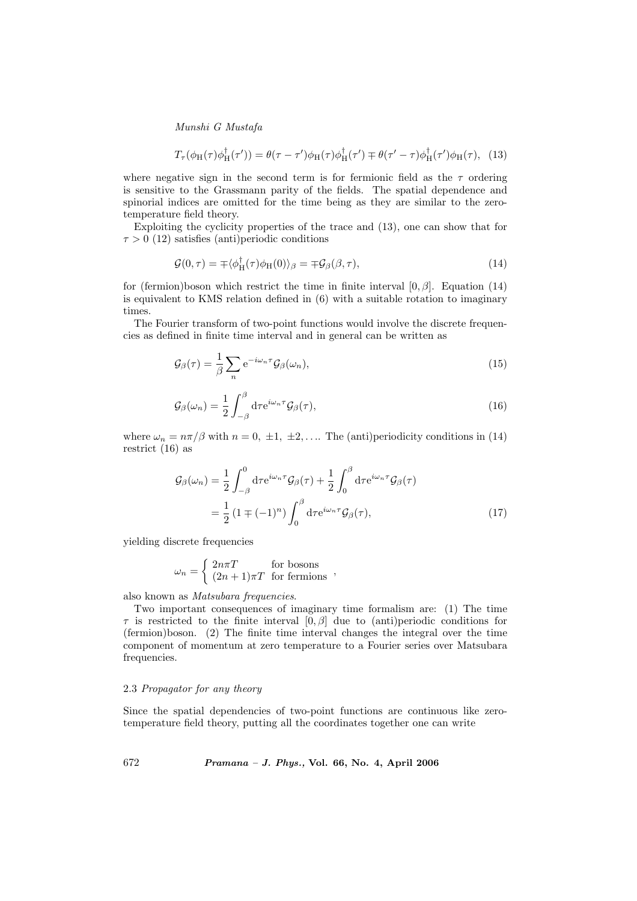$$
T_{\tau}(\phi_H(\tau)\phi_H^{\dagger}(\tau')) = \theta(\tau - \tau')\phi_H(\tau)\phi_H^{\dagger}(\tau') \mp \theta(\tau' - \tau)\phi_H^{\dagger}(\tau')\phi_H(\tau), \quad (13)
$$

where negative sign in the second term is for fermionic field as the  $\tau$  ordering is sensitive to the Grassmann parity of the fields. The spatial dependence and spinorial indices are omitted for the time being as they are similar to the zerotemperature field theory.

Exploiting the cyclicity properties of the trace and (13), one can show that for  $\tau > 0$  (12) satisfies (anti)periodic conditions

$$
\mathcal{G}(0,\tau) = \pm \langle \phi_H^{\dagger}(\tau)\phi_H(0) \rangle_{\beta} = \pm \mathcal{G}_{\beta}(\beta,\tau), \qquad (14)
$$

for (fermion)boson which restrict the time in finite interval  $[0, \beta]$ . Equation (14) is equivalent to KMS relation defined in (6) with a suitable rotation to imaginary times.

The Fourier transform of two-point functions would involve the discrete frequencies as defined in finite time interval and in general can be written as

$$
\mathcal{G}_{\beta}(\tau) = \frac{1}{\beta} \sum_{n} e^{-i\omega_n \tau} \mathcal{G}_{\beta}(\omega_n), \tag{15}
$$

$$
\mathcal{G}_{\beta}(\omega_n) = \frac{1}{2} \int_{-\beta}^{\beta} d\tau e^{i\omega_n \tau} \mathcal{G}_{\beta}(\tau), \qquad (16)
$$

where  $\omega_n = n\pi/\beta$  with  $n = 0, \pm 1, \pm 2, \ldots$  The (anti)periodicity conditions in (14) restrict (16) as

$$
\mathcal{G}_{\beta}(\omega_n) = \frac{1}{2} \int_{-\beta}^{0} d\tau e^{i\omega_n \tau} \mathcal{G}_{\beta}(\tau) + \frac{1}{2} \int_{0}^{\beta} d\tau e^{i\omega_n \tau} \mathcal{G}_{\beta}(\tau)
$$

$$
= \frac{1}{2} \left( 1 \mp (-1)^n \right) \int_{0}^{\beta} d\tau e^{i\omega_n \tau} \mathcal{G}_{\beta}(\tau), \tag{17}
$$

yielding discrete frequencies

$$
\omega_n = \begin{cases} 2n\pi T & \text{for bosons} \\ (2n+1)\pi T & \text{for fermions} \end{cases}
$$
,

also known as Matsubara frequencies.

Two important consequences of imaginary time formalism are: (1) The time  $\tau$  is restricted to the finite interval  $[0, \beta]$  due to (anti)periodic conditions for (fermion)boson. (2) The finite time interval changes the integral over the time component of momentum at zero temperature to a Fourier series over Matsubara frequencies.

# 2.3 Propagator for any theory

Since the spatial dependencies of two-point functions are continuous like zerotemperature field theory, putting all the coordinates together one can write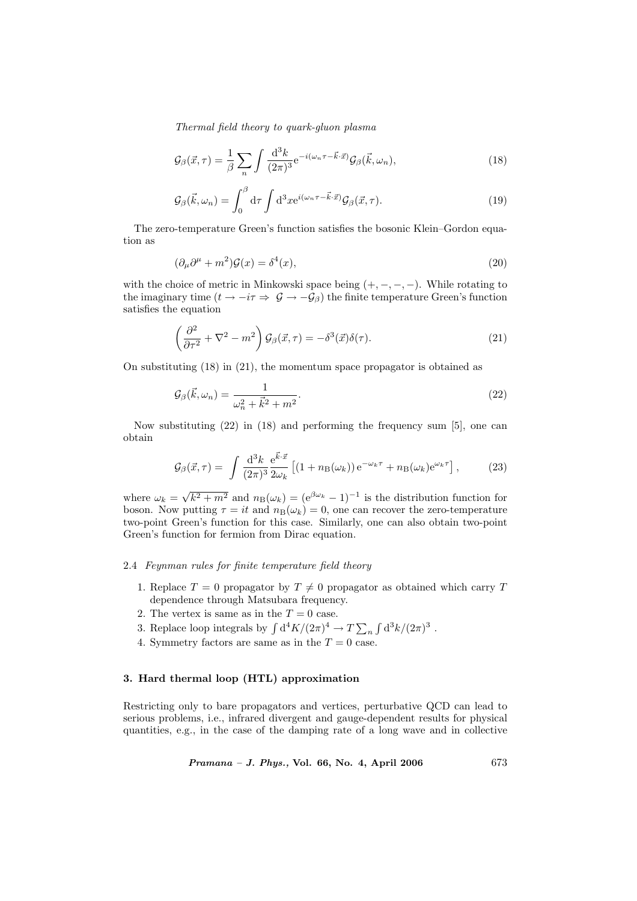$$
\mathcal{G}_{\beta}(\vec{x},\tau) = \frac{1}{\beta} \sum_{n} \int \frac{\mathrm{d}^{3}k}{(2\pi)^{3}} e^{-i(\omega_{n}\tau - \vec{k}\cdot\vec{x})} \mathcal{G}_{\beta}(\vec{k},\omega_{n}), \qquad (18)
$$

$$
\mathcal{G}_{\beta}(\vec{k}, \omega_n) = \int_0^{\beta} d\tau \int d^3x e^{i(\omega_n \tau - \vec{k} \cdot \vec{x})} \mathcal{G}_{\beta}(\vec{x}, \tau). \tag{19}
$$

The zero-temperature Green's function satisfies the bosonic Klein–Gordon equation as

$$
(\partial_{\mu}\partial^{\mu} + m^2)\mathcal{G}(x) = \delta^4(x),\tag{20}
$$

with the choice of metric in Minkowski space being  $(+, -, -, -)$ . While rotating to the imaginary time  $(t \to -i\tau \Rightarrow \mathcal{G} \to -\mathcal{G}_{\beta})$  the finite temperature Green's function satisfies the equation

$$
\left(\frac{\partial^2}{\partial \tau^2} + \nabla^2 - m^2\right) \mathcal{G}_{\beta}(\vec{x}, \tau) = -\delta^3(\vec{x}) \delta(\tau). \tag{21}
$$

On substituting (18) in (21), the momentum space propagator is obtained as

$$
\mathcal{G}_{\beta}(\vec{k},\omega_n) = \frac{1}{\omega_n^2 + \vec{k}^2 + m^2}.\tag{22}
$$

Now substituting (22) in (18) and performing the frequency sum [5], one can obtain

$$
\mathcal{G}_{\beta}(\vec{x},\tau) = \int \frac{\mathrm{d}^3 k}{(2\pi)^3} \frac{\mathrm{e}^{\vec{k}\cdot\vec{x}}}{2\omega_k} \left[ (1 + n_\mathrm{B}(\omega_k)) \,\mathrm{e}^{-\omega_k \tau} + n_\mathrm{B}(\omega_k) \mathrm{e}^{\omega_k \tau} \right],\tag{23}
$$

where  $\omega_k =$ √  $\overline{k^2 + m^2}$  and  $n_B(\omega_k) = (e^{\beta \omega_k} - 1)^{-1}$  is the distribution function for boson. Now putting  $\tau = it$  and  $n_B(\omega_k) = 0$ , one can recover the zero-temperature two-point Green's function for this case. Similarly, one can also obtain two-point Green's function for fermion from Dirac equation.

# 2.4 Feynman rules for finite temperature field theory

- 1. Replace  $T = 0$  propagator by  $T \neq 0$  propagator as obtained which carry T dependence through Matsubara frequency.
- 2. The vertex is same as in the  $T = 0$  case.
- 2. The vertex is same as in the  $T = 0$  case.<br>3. Replace loop integrals by  $\int d^4K/(2\pi)^4 \rightarrow T \sum$ n R  $d^3k/(2\pi)^3$ .
- 4. Symmetry factors are same as in the  $T = 0$  case.

#### 3. Hard thermal loop (HTL) approximation

Restricting only to bare propagators and vertices, perturbative QCD can lead to serious problems, i.e., infrared divergent and gauge-dependent results for physical quantities, e.g., in the case of the damping rate of a long wave and in collective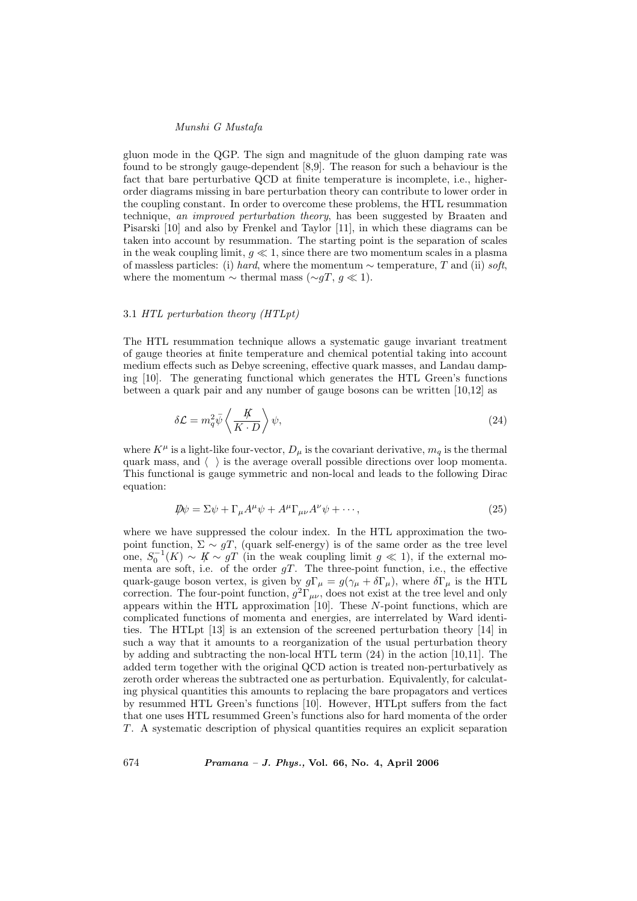gluon mode in the QGP. The sign and magnitude of the gluon damping rate was found to be strongly gauge-dependent [8,9]. The reason for such a behaviour is the fact that bare perturbative QCD at finite temperature is incomplete, i.e., higherorder diagrams missing in bare perturbation theory can contribute to lower order in the coupling constant. In order to overcome these problems, the HTL resummation technique, an improved perturbation theory, has been suggested by Braaten and Pisarski [10] and also by Frenkel and Taylor [11], in which these diagrams can be taken into account by resummation. The starting point is the separation of scales in the weak coupling limit,  $q \ll 1$ , since there are two momentum scales in a plasma of massless particles: (i) hard, where the momentum  $\sim$  temperature, T and (ii) soft, where the momentum  $\sim$  thermal mass ( $\sim$ gT, g  $\ll$  1).

# 3.1 HTL perturbation theory (HTLpt)

The HTL resummation technique allows a systematic gauge invariant treatment of gauge theories at finite temperature and chemical potential taking into account medium effects such as Debye screening, effective quark masses, and Landau damping [10]. The generating functional which generates the HTL Green's functions between a quark pair and any number of gauge bosons can be written [10,12] as

$$
\delta \mathcal{L} = m_q^2 \bar{\psi} \left\langle \frac{\not K}{K \cdot D} \right\rangle \psi, \tag{24}
$$

where  $K^{\mu}$  is a light-like four-vector,  $D_{\mu}$  is the covariant derivative,  $m_q$  is the thermal quark mass, and  $\langle \ \ \rangle$  is the average overall possible directions over loop momenta. This functional is gauge symmetric and non-local and leads to the following Dirac equation:

$$
\mathcal{D}\psi = \Sigma \psi + \Gamma_{\mu} A^{\mu} \psi + A^{\mu} \Gamma_{\mu\nu} A^{\nu} \psi + \cdots, \qquad (25)
$$

where we have suppressed the colour index. In the HTL approximation the twopoint function,  $\Sigma \sim gT$ , (quark self-energy) is of the same order as the tree level one,  $S_0^{-1}(K) \sim K \sim gT$  (in the weak coupling limit  $g \ll 1$ ), if the external momenta are soft, i.e. of the order  $gT$ . The three-point function, i.e., the effective quark-gauge boson vertex, is given by  $g\Gamma_\mu = g(\gamma_\mu + \delta \Gamma_\mu)$ , where  $\delta \Gamma_\mu$  is the HTL correction. The four-point function,  $g^2\Gamma_{\mu\nu}$ , does not exist at the tree level and only appears within the HTL approximation [10]. These  $N$ -point functions, which are complicated functions of momenta and energies, are interrelated by Ward identities. The HTLpt [13] is an extension of the screened perturbation theory [14] in such a way that it amounts to a reorganization of the usual perturbation theory by adding and subtracting the non-local HTL term (24) in the action [10,11]. The added term together with the original QCD action is treated non-perturbatively as zeroth order whereas the subtracted one as perturbation. Equivalently, for calculating physical quantities this amounts to replacing the bare propagators and vertices by resummed HTL Green's functions [10]. However, HTLpt suffers from the fact that one uses HTL resummed Green's functions also for hard momenta of the order T. A systematic description of physical quantities requires an explicit separation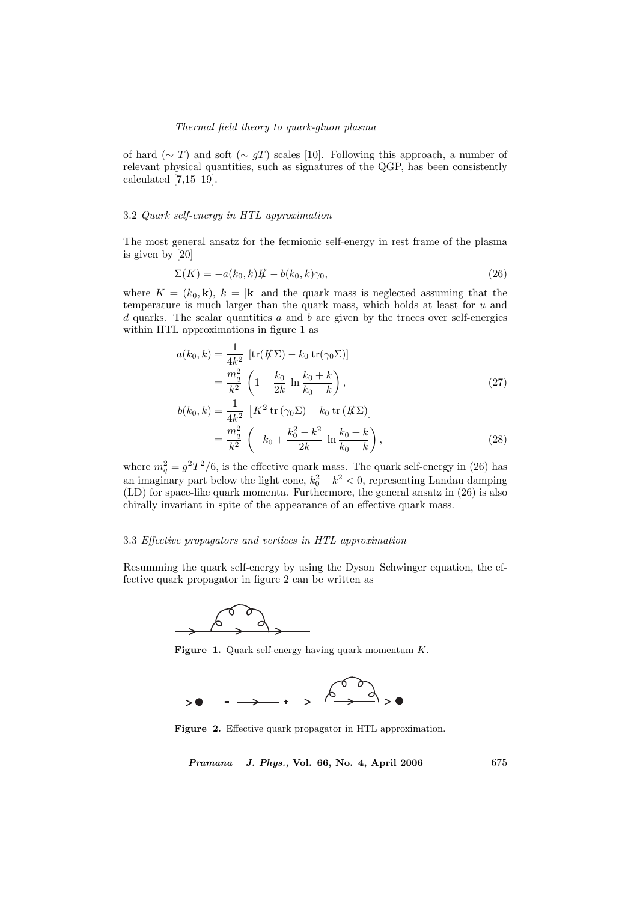of hard ( $\sim T$ ) and soft ( $\sim qT$ ) scales [10]. Following this approach, a number of relevant physical quantities, such as signatures of the QGP, has been consistently calculated [7,15–19].

# 3.2 Quark self-energy in HTL approximation

The most general ansatz for the fermionic self-energy in rest frame of the plasma is given by [20]

$$
\Sigma(K) = -a(k_0, k)K - b(k_0, k)\gamma_0,
$$
\n(26)

where  $K = (k_0, \mathbf{k})$ ,  $k = |\mathbf{k}|$  and the quark mass is neglected assuming that the temperature is much larger than the quark mass, which holds at least for u and d quarks. The scalar quantities  $a$  and  $b$  are given by the traces over self-energies within HTL approximations in figure 1 as

$$
a(k_0, k) = \frac{1}{4k^2} \left[ \text{tr}(K\Sigma) - k_0 \text{ tr}(\gamma_0 \Sigma) \right]
$$
  
= 
$$
\frac{m_q^2}{k^2} \left( 1 - \frac{k_0}{2k} \ln \frac{k_0 + k}{k_0 - k} \right),
$$
 (27)

$$
b(k_0, k) = \frac{1}{4k^2} \left[ K^2 \operatorname{tr} (\gamma_0 \Sigma) - k_0 \operatorname{tr} (K \Sigma) \right]
$$
  
= 
$$
\frac{m_q^2}{k^2} \left( -k_0 + \frac{k_0^2 - k^2}{2k} \ln \frac{k_0 + k}{k_0 - k} \right),
$$
 (28)

where  $m_q^2 = g^2 T^2/6$ , is the effective quark mass. The quark self-energy in (26) has an imaginary part below the light cone,  $k_0^2 - k^2 < 0$ , representing Landau damping (LD) for space-like quark momenta. Furthermore, the general ansatz in (26) is also chirally invariant in spite of the appearance of an effective quark mass.

## 3.3 Effective propagators and vertices in HTL approximation

Resumming the quark self-energy by using the Dyson–Schwinger equation, the effective quark propagator in figure 2 can be written as



Figure 1. Quark self-energy having quark momentum  $K$ .



Figure 2. Effective quark propagator in HTL approximation.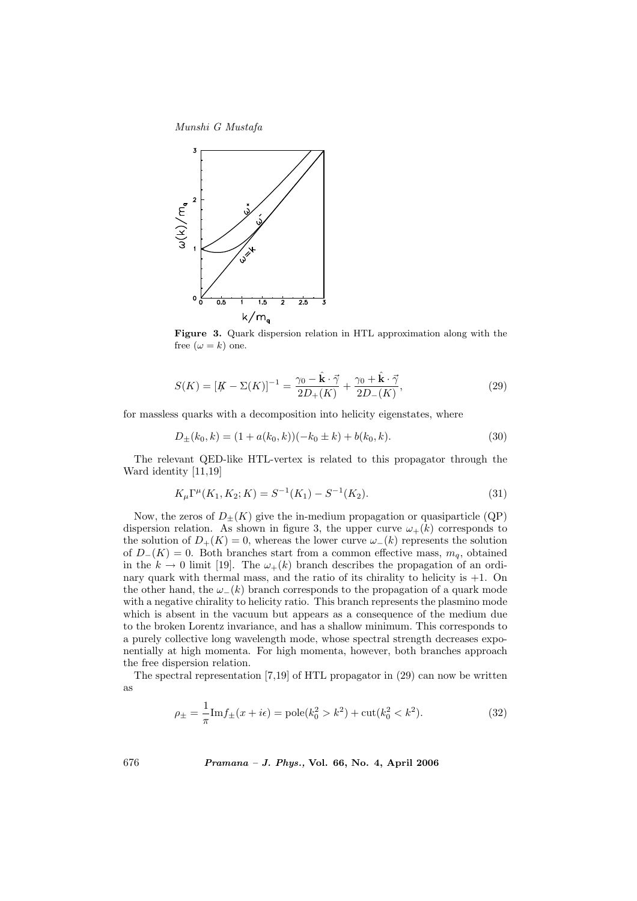

Figure 3. Quark dispersion relation in HTL approximation along with the free  $(\omega = k)$  one.

$$
S(K) = [K - \Sigma(K)]^{-1} = \frac{\gamma_0 - \hat{\mathbf{k}} \cdot \vec{\gamma}}{2D_+(K)} + \frac{\gamma_0 + \hat{\mathbf{k}} \cdot \vec{\gamma}}{2D_-(K)},
$$
\n(29)

for massless quarks with a decomposition into helicity eigenstates, where

$$
D_{\pm}(k_0, k) = (1 + a(k_0, k))(-k_0 \pm k) + b(k_0, k). \tag{30}
$$

The relevant QED-like HTL-vertex is related to this propagator through the Ward identity [11,19]

$$
K_{\mu}\Gamma^{\mu}(K_1, K_2; K) = S^{-1}(K_1) - S^{-1}(K_2). \tag{31}
$$

Now, the zeros of  $D_{\pm}(K)$  give the in-medium propagation or quasiparticle (QP) dispersion relation. As shown in figure 3, the upper curve  $\omega_{+}(k)$  corresponds to the solution of  $D_{+}(K) = 0$ , whereas the lower curve  $\omega_{-}(k)$  represents the solution of  $D_{-}(K) = 0$ . Both branches start from a common effective mass,  $m_q$ , obtained in the  $k \to 0$  limit [19]. The  $\omega_{+}(k)$  branch describes the propagation of an ordinary quark with thermal mass, and the ratio of its chirality to helicity is  $+1$ . On the other hand, the  $\omega_-(k)$  branch corresponds to the propagation of a quark mode with a negative chirality to helicity ratio. This branch represents the plasmino mode which is absent in the vacuum but appears as a consequence of the medium due to the broken Lorentz invariance, and has a shallow minimum. This corresponds to a purely collective long wavelength mode, whose spectral strength decreases exponentially at high momenta. For high momenta, however, both branches approach the free dispersion relation.

The spectral representation [7,19] of HTL propagator in (29) can now be written as

$$
\rho_{\pm} = \frac{1}{\pi} \text{Im} f_{\pm}(x + i\epsilon) = \text{pole}(k_0^2 > k^2) + \text{cut}(k_0^2 < k^2). \tag{32}
$$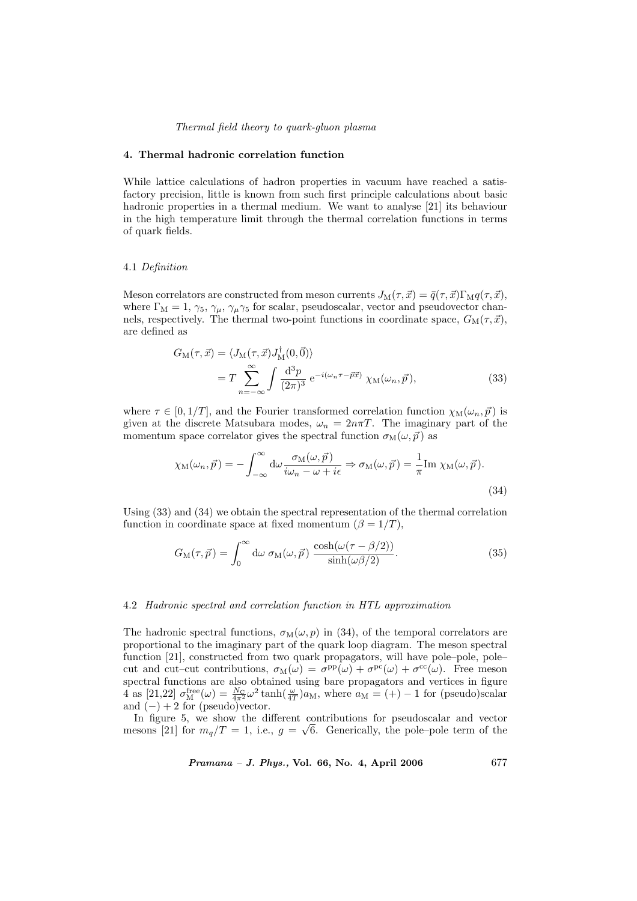# 4. Thermal hadronic correlation function

While lattice calculations of hadron properties in vacuum have reached a satisfactory precision, little is known from such first principle calculations about basic hadronic properties in a thermal medium. We want to analyse [21] its behaviour in the high temperature limit through the thermal correlation functions in terms of quark fields.

#### 4.1 Definition

Meson correlators are constructed from meson currents  $J_M(\tau, \vec{x}) = \bar{q}(\tau, \vec{x}) \Gamma_M q(\tau, \vec{x}),$ where  $\Gamma_M = 1, \gamma_5, \gamma_\mu, \gamma_\mu \gamma_5$  for scalar, pseudoscalar, vector and pseudovector channels, respectively. The thermal two-point functions in coordinate space,  $G_M(\tau, \vec{x})$ , are defined as

$$
G_{\mathcal{M}}(\tau, \vec{x}) = \langle J_{\mathcal{M}}(\tau, \vec{x}) J_{\mathcal{M}}^{\dagger}(0, \vec{0}) \rangle
$$
  
=  $T \sum_{n=-\infty}^{\infty} \int \frac{d^3 p}{(2\pi)^3} e^{-i(\omega_n \tau - \vec{p}\vec{x})} \chi_{\mathcal{M}}(\omega_n, \vec{p}),$  (33)

where  $\tau \in [0, 1/T]$ , and the Fourier transformed correlation function  $\chi_{\text{M}}(\omega_n, \vec{p})$  is given at the discrete Matsubara modes,  $\omega_n = 2n\pi T$ . The imaginary part of the momentum space correlator gives the spectral function  $\sigma_M(\omega, \vec{p})$  as

$$
\chi_{\mathcal{M}}(\omega_n, \vec{p}) = -\int_{-\infty}^{\infty} d\omega \frac{\sigma_{\mathcal{M}}(\omega, \vec{p})}{i\omega_n - \omega + i\epsilon} \Rightarrow \sigma_{\mathcal{M}}(\omega, \vec{p}) = \frac{1}{\pi} \text{Im } \chi_{\mathcal{M}}(\omega, \vec{p}).
$$
\n(34)

Using (33) and (34) we obtain the spectral representation of the thermal correlation function in coordinate space at fixed momentum ( $\beta = 1/T$ ),

$$
G_{\rm M}(\tau,\vec{p}) = \int_0^\infty d\omega \; \sigma_{\rm M}(\omega,\vec{p}) \; \frac{\cosh(\omega(\tau-\beta/2))}{\sinh(\omega\beta/2)}.\tag{35}
$$

# 4.2 Hadronic spectral and correlation function in HTL approximation

The hadronic spectral functions,  $\sigma_M(\omega, p)$  in (34), of the temporal correlators are proportional to the imaginary part of the quark loop diagram. The meson spectral function [21], constructed from two quark propagators, will have pole–pole, pole– cut and cut–cut contributions,  $\sigma_M(\omega) = \sigma^{\rm pp}(\omega) + \sigma^{\rm pc}(\omega) + \sigma^{\rm cc}(\omega)$ . Free meson spectral functions are also obtained using bare propagators and vertices in figure 4 as [21,22]  $\sigma_M^{\text{free}}(\omega) = \frac{N_C}{4\pi^2} \omega^2 \tanh(\frac{\omega}{4T}) a_M$ , where  $a_M = (+) - 1$  for (pseudo)scalar and  $(-) + 2$  for (pseudo)vector.

In figure 5, we show the different contributions for pseudoscalar and vector mesons [21] for  $m_q/T = 1$ , i.e.,  $g = \sqrt{6}$ . Generically, the pole-pole term of the

Pramana – J. Phys., Vol. 66, No. 4, April 2006

\n
$$
677
$$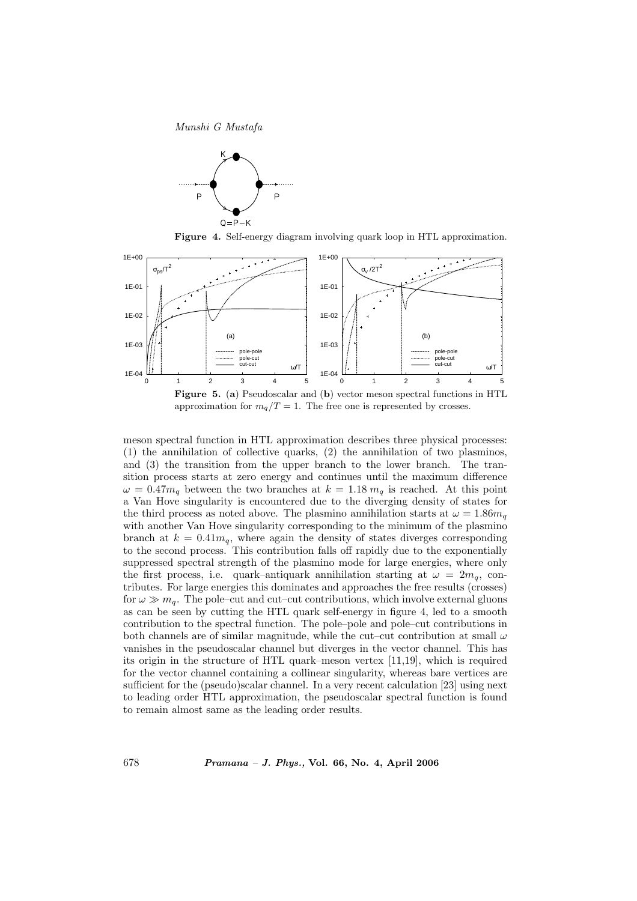

Figure 4. Self-energy diagram involving quark loop in HTL approximation.



approximation for  $m_q/T = 1$ . The free one is represented by crosses.

meson spectral function in HTL approximation describes three physical processes: (1) the annihilation of collective quarks, (2) the annihilation of two plasminos, and (3) the transition from the upper branch to the lower branch. The transition process starts at zero energy and continues until the maximum difference  $\omega = 0.47m_q$  between the two branches at  $k = 1.18 m_q$  is reached. At this point a Van Hove singularity is encountered due to the diverging density of states for the third process as noted above. The plasmino annihilation starts at  $\omega = 1.86m_q$ with another Van Hove singularity corresponding to the minimum of the plasmino branch at  $k = 0.41m_q$ , where again the density of states diverges corresponding to the second process. This contribution falls off rapidly due to the exponentially suppressed spectral strength of the plasmino mode for large energies, where only the first process, i.e. quark–antiquark annihilation starting at  $\omega = 2m_q$ , contributes. For large energies this dominates and approaches the free results (crosses) for  $\omega \gg m_q$ . The pole–cut and cut–cut contributions, which involve external gluons as can be seen by cutting the HTL quark self-energy in figure 4, led to a smooth contribution to the spectral function. The pole–pole and pole–cut contributions in both channels are of similar magnitude, while the cut–cut contribution at small  $\omega$ vanishes in the pseudoscalar channel but diverges in the vector channel. This has its origin in the structure of HTL quark–meson vertex [11,19], which is required for the vector channel containing a collinear singularity, whereas bare vertices are sufficient for the (pseudo)scalar channel. In a very recent calculation [23] using next to leading order HTL approximation, the pseudoscalar spectral function is found to remain almost same as the leading order results.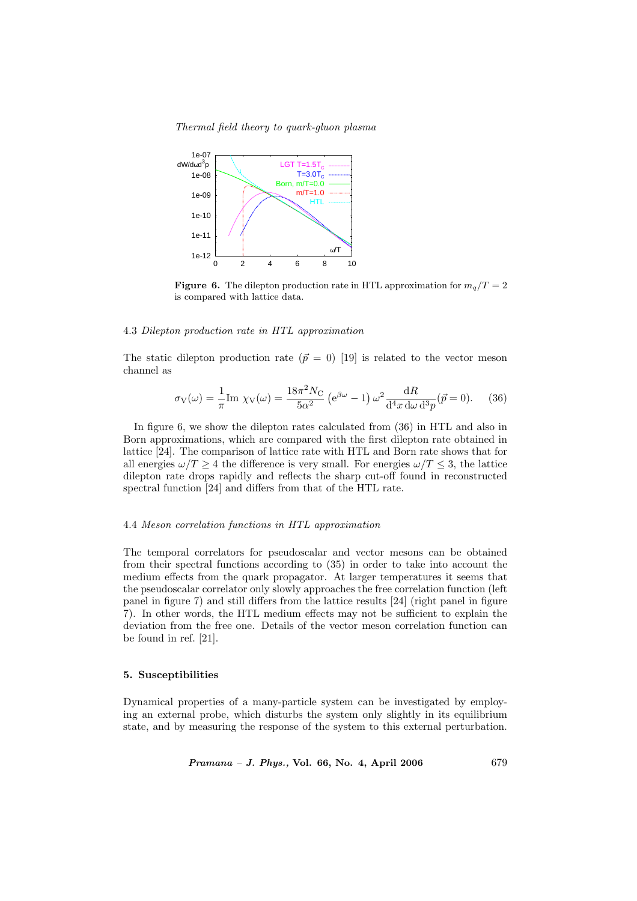

**Figure 6.** The dilepton production rate in HTL approximation for  $m_q/T = 2$ is compared with lattice data.

#### 4.3 Dilepton production rate in HTL approximation

The static dilepton production rate  $(\vec{p} = 0)$  [19] is related to the vector meson channel as

$$
\sigma_{\rm V}(\omega) = \frac{1}{\pi} \text{Im } \chi_{\rm V}(\omega) = \frac{18\pi^2 N_{\rm C}}{5\alpha^2} \left( e^{\beta \omega} - 1 \right) \omega^2 \frac{\mathrm{d}R}{\mathrm{d}^4 x \, \mathrm{d}\omega \, \mathrm{d}^3 p} (\vec{p} = 0). \tag{36}
$$

In figure 6, we show the dilepton rates calculated from (36) in HTL and also in Born approximations, which are compared with the first dilepton rate obtained in lattice [24]. The comparison of lattice rate with HTL and Born rate shows that for all energies  $\omega/T \geq 4$  the difference is very small. For energies  $\omega/T \leq 3$ , the lattice dilepton rate drops rapidly and reflects the sharp cut-off found in reconstructed spectral function [24] and differs from that of the HTL rate.

# 4.4 Meson correlation functions in HTL approximation

The temporal correlators for pseudoscalar and vector mesons can be obtained from their spectral functions according to (35) in order to take into account the medium effects from the quark propagator. At larger temperatures it seems that the pseudoscalar correlator only slowly approaches the free correlation function (left panel in figure 7) and still differs from the lattice results [24] (right panel in figure 7). In other words, the HTL medium effects may not be sufficient to explain the deviation from the free one. Details of the vector meson correlation function can be found in ref. [21].

# 5. Susceptibilities

Dynamical properties of a many-particle system can be investigated by employing an external probe, which disturbs the system only slightly in its equilibrium state, and by measuring the response of the system to this external perturbation.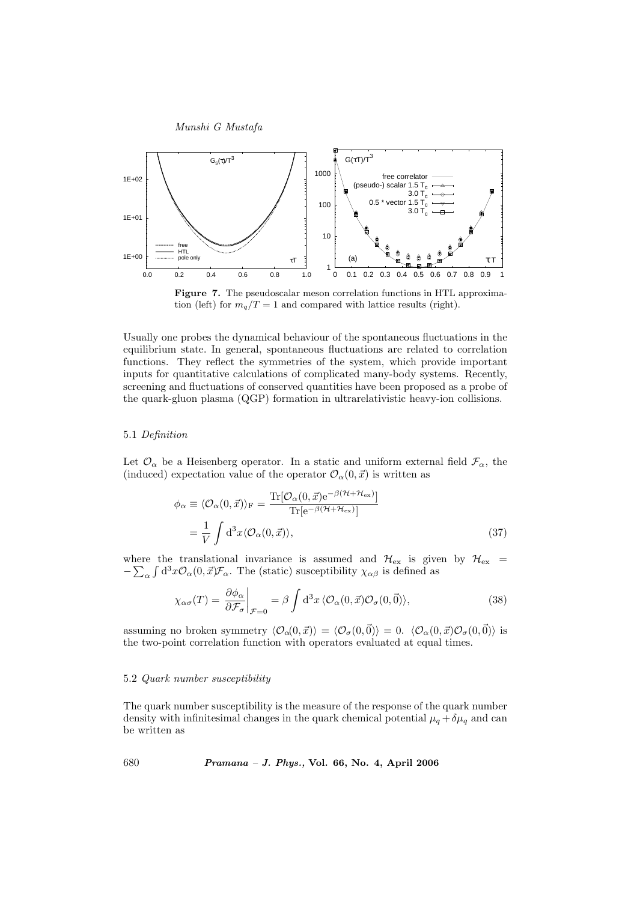

Figure 7. The pseudoscalar meson correlation functions in HTL approximation (left) for  $m_q/T = 1$  and compared with lattice results (right).

Usually one probes the dynamical behaviour of the spontaneous fluctuations in the equilibrium state. In general, spontaneous fluctuations are related to correlation functions. They reflect the symmetries of the system, which provide important inputs for quantitative calculations of complicated many-body systems. Recently, screening and fluctuations of conserved quantities have been proposed as a probe of the quark-gluon plasma (QGP) formation in ultrarelativistic heavy-ion collisions.

# 5.1 Definition

Let  $\mathcal{O}_{\alpha}$  be a Heisenberg operator. In a static and uniform external field  $\mathcal{F}_{\alpha}$ , the (induced) expectation value of the operator  $\mathcal{O}_{\alpha}(0, \vec{x})$  is written as

$$
\phi_{\alpha} \equiv \langle \mathcal{O}_{\alpha}(0,\vec{x}) \rangle_{\text{F}} = \frac{\text{Tr}[\mathcal{O}_{\alpha}(0,\vec{x})e^{-\beta(\mathcal{H} + \mathcal{H}_{\text{ex}})}]}{\text{Tr}[e^{-\beta(\mathcal{H} + \mathcal{H}_{\text{ex}})}]}
$$

$$
= \frac{1}{V} \int d^{3}x \langle \mathcal{O}_{\alpha}(0,\vec{x}) \rangle, \tag{37}
$$

where the translational invariance is assumed and  $\mathcal{H}_{\rm ex}$  is given by  $\mathcal{H}_{\rm ex}$  =  $-\sum_{\alpha} \int d^3x \mathcal{O}_{\alpha}(0, \vec{x}) \mathcal{F}_{\alpha}$ . The (static) susceptibility  $\chi_{\alpha\beta}$  is defined as

$$
\chi_{\alpha\sigma}(T) = \frac{\partial \phi_{\alpha}}{\partial \mathcal{F}_{\sigma}} \bigg|_{\mathcal{F}=0} = \beta \int d^3x \, \langle \mathcal{O}_{\alpha}(0, \vec{x}) \mathcal{O}_{\sigma}(0, \vec{0}) \rangle, \tag{38}
$$

assuming no broken symmetry  $\langle \mathcal{O}_{\alpha}(0, \vec{x}) \rangle = \langle \mathcal{O}_{\sigma}(0, \vec{0}) \rangle = 0$ .  $\langle \mathcal{O}_{\alpha}(0, \vec{x})\mathcal{O}_{\sigma}(0, \vec{0}) \rangle$  is the two-point correlation function with operators evaluated at equal times.

#### 5.2 Quark number susceptibility

The quark number susceptibility is the measure of the response of the quark number density with infinitesimal changes in the quark chemical potential  $\mu_q + \delta \mu_q$  and can be written as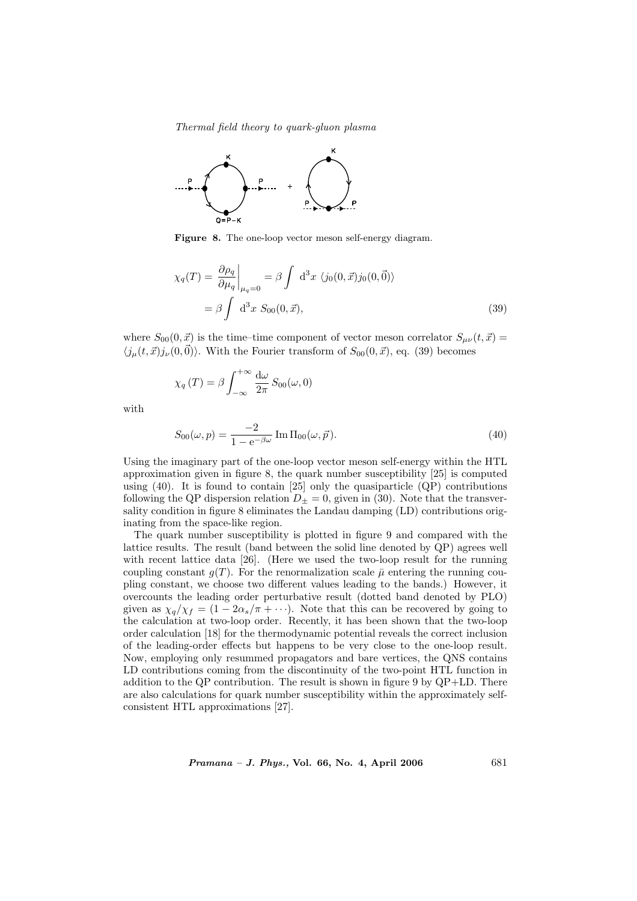

Figure 8. The one-loop vector meson self-energy diagram.

$$
\chi_q(T) = \frac{\partial \rho_q}{\partial \mu_q} \bigg|_{\mu_q = 0} = \beta \int d^3x \ \langle j_0(0, \vec{x}) j_0(0, \vec{0}) \rangle
$$

$$
= \beta \int d^3x \ S_{00}(0, \vec{x}), \tag{39}
$$

where  $S_{00}(0, \vec{x})$  is the time–time component of vector meson correlator  $S_{\mu\nu}(t, \vec{x}) =$  $\langle j_\mu(t, \vec{x}) j_\nu(0, \vec{0}) \rangle$ . With the Fourier transform of  $S_{00}(0, \vec{x})$ , eq. (39) becomes

$$
\chi_q(T) = \beta \int_{-\infty}^{+\infty} \frac{d\omega}{2\pi} S_{00}(\omega, 0)
$$

with

$$
S_{00}(\omega, p) = \frac{-2}{1 - e^{-\beta \omega}} \operatorname{Im} \Pi_{00}(\omega, \vec{p}).
$$
\n(40)

Using the imaginary part of the one-loop vector meson self-energy within the HTL approximation given in figure 8, the quark number susceptibility [25] is computed using  $(40)$ . It is found to contain  $[25]$  only the quasiparticle  $(QP)$  contributions following the QP dispersion relation  $D_{\pm} = 0$ , given in (30). Note that the transversality condition in figure 8 eliminates the Landau damping (LD) contributions originating from the space-like region.

The quark number susceptibility is plotted in figure 9 and compared with the lattice results. The result (band between the solid line denoted by QP) agrees well with recent lattice data [26]. (Here we used the two-loop result for the running coupling constant  $q(T)$ . For the renormalization scale  $\bar{\mu}$  entering the running coupling constant, we choose two different values leading to the bands.) However, it overcounts the leading order perturbative result (dotted band denoted by PLO) given as  $\chi_q/\chi_f = (1 - 2\alpha_s/\pi + \cdots)$ . Note that this can be recovered by going to the calculation at two-loop order. Recently, it has been shown that the two-loop order calculation [18] for the thermodynamic potential reveals the correct inclusion of the leading-order effects but happens to be very close to the one-loop result. Now, employing only resummed propagators and bare vertices, the QNS contains LD contributions coming from the discontinuity of the two-point HTL function in addition to the QP contribution. The result is shown in figure 9 by QP+LD. There are also calculations for quark number susceptibility within the approximately selfconsistent HTL approximations [27].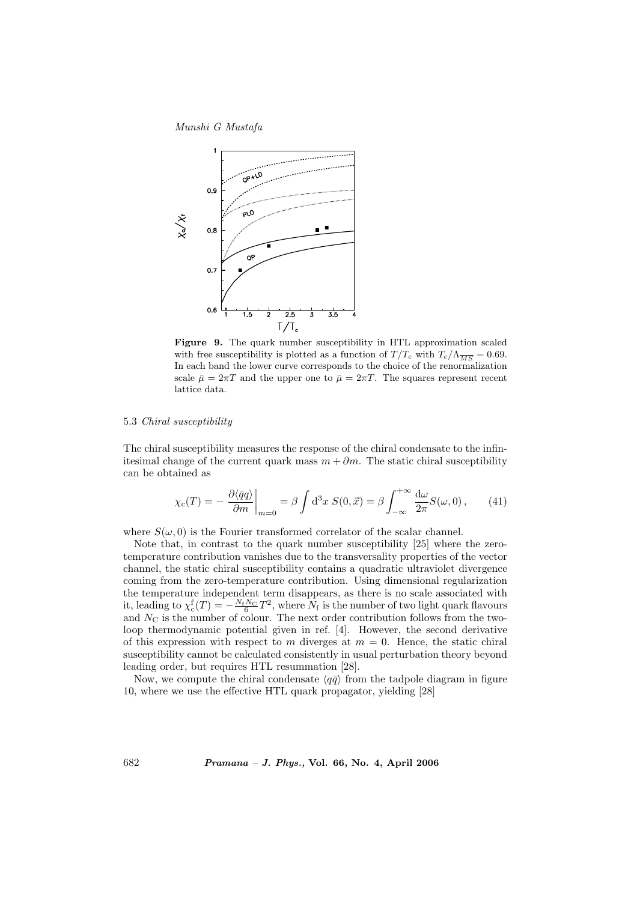

Figure 9. The quark number susceptibility in HTL approximation scaled with free susceptibility is plotted as a function of  $T/T_c$  with  $T_c/\Lambda_{\overline{MS}} = 0.69$ . In each band the lower curve corresponds to the choice of the renormalization scale  $\bar{\mu} = 2\pi T$  and the upper one to  $\bar{\mu} = 2\pi T$ . The squares represent recent lattice data.

# 5.3 Chiral susceptibility

The chiral susceptibility measures the response of the chiral condensate to the infinitesimal change of the current quark mass  $m + \partial m$ . The static chiral susceptibility can be obtained as

$$
\chi_{\rm c}(T) = -\left. \frac{\partial \langle \bar{q}q \rangle}{\partial m} \right|_{m=0} = \beta \int d^3x \ S(0, \vec{x}) = \beta \int_{-\infty}^{+\infty} \frac{d\omega}{2\pi} S(\omega, 0), \tag{41}
$$

where  $S(\omega, 0)$  is the Fourier transformed correlator of the scalar channel.

Note that, in contrast to the quark number susceptibility [25] where the zerotemperature contribution vanishes due to the transversality properties of the vector channel, the static chiral susceptibility contains a quadratic ultraviolet divergence coming from the zero-temperature contribution. Using dimensional regularization the temperature independent term disappears, as there is no scale associated with it, leading to  $\chi_c^f(T) = -\frac{N_f N_C}{6} T^2$ , where  $N_f$  is the number of two light quark flavours and  $N_{\rm C}$  is the number of colour. The next order contribution follows from the twoloop thermodynamic potential given in ref. [4]. However, the second derivative of this expression with respect to m diverges at  $m = 0$ . Hence, the static chiral susceptibility cannot be calculated consistently in usual perturbation theory beyond leading order, but requires HTL resummation [28].

Now, we compute the chiral condensate  $\langle q\bar{q}\rangle$  from the tadpole diagram in figure 10, where we use the effective HTL quark propagator, yielding [28]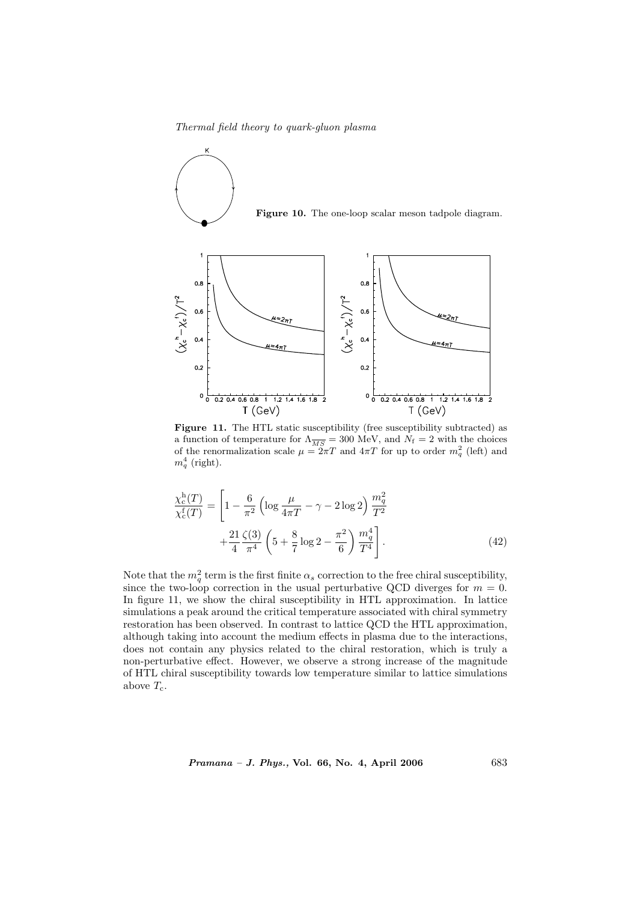Thermal field theory to quark-gluon plasma



χ



Figure 11. The HTL static susceptibility (free susceptibility subtracted) as a function of temperature for  $\Lambda_{\overline{MS}} = 300$  MeV, and  $N_f = 2$  with the choices of the renormalization scale  $\mu = 2\pi T$  and  $4\pi T$  for up to order  $m_q^2$  (left) and  $m_q^4$  (right).

$$
\frac{\chi_c^{\text{h}}(T)}{\chi_c^{\text{f}}(T)} = \left[1 - \frac{6}{\pi^2} \left(\log \frac{\mu}{4\pi T} - \gamma - 2\log 2\right) \frac{m_q^2}{T^2} + \frac{21}{4} \frac{\zeta(3)}{\pi^4} \left(5 + \frac{8}{7} \log 2 - \frac{\pi^2}{6}\right) \frac{m_q^4}{T^4}\right].\tag{42}
$$

Note that the  $m_q^2$  term is the first finite  $\alpha_s$  correction to the free chiral susceptibility, since the two-loop correction in the usual perturbative QCD diverges for  $m = 0$ . In figure 11, we show the chiral susceptibility in HTL approximation. In lattice simulations a peak around the critical temperature associated with chiral symmetry restoration has been observed. In contrast to lattice QCD the HTL approximation, although taking into account the medium effects in plasma due to the interactions, does not contain any physics related to the chiral restoration, which is truly a non-perturbative effect. However, we observe a strong increase of the magnitude of HTL chiral susceptibility towards low temperature similar to lattice simulations above  $T_c$ .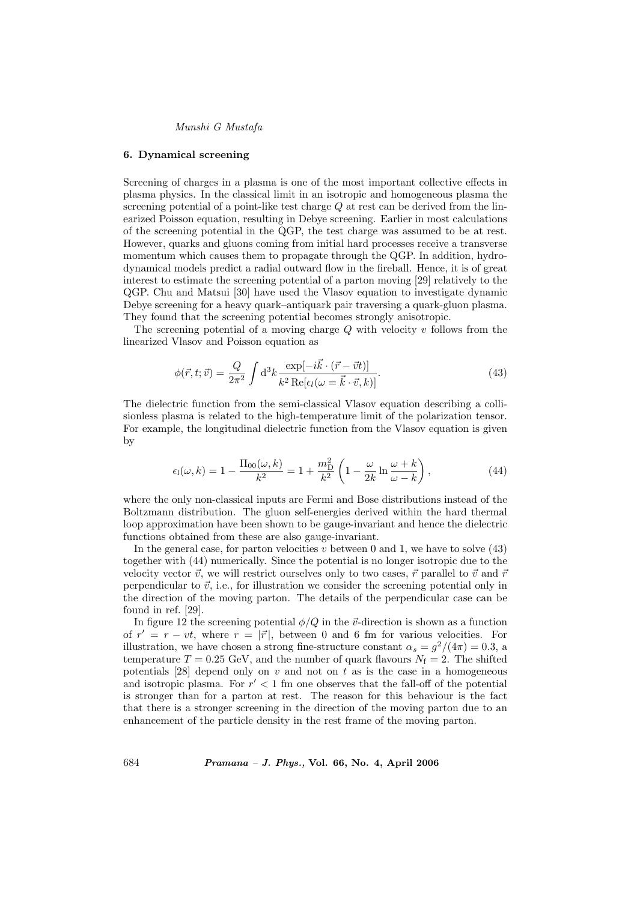#### 6. Dynamical screening

Screening of charges in a plasma is one of the most important collective effects in plasma physics. In the classical limit in an isotropic and homogeneous plasma the screening potential of a point-like test charge  $Q$  at rest can be derived from the linearized Poisson equation, resulting in Debye screening. Earlier in most calculations of the screening potential in the QGP, the test charge was assumed to be at rest. However, quarks and gluons coming from initial hard processes receive a transverse momentum which causes them to propagate through the QGP. In addition, hydrodynamical models predict a radial outward flow in the fireball. Hence, it is of great interest to estimate the screening potential of a parton moving [29] relatively to the QGP. Chu and Matsui [30] have used the Vlasov equation to investigate dynamic Debye screening for a heavy quark–antiquark pair traversing a quark-gluon plasma. They found that the screening potential becomes strongly anisotropic.

The screening potential of a moving charge  $Q$  with velocity  $v$  follows from the linearized Vlasov and Poisson equation as

$$
\phi(\vec{r},t;\vec{v}) = \frac{Q}{2\pi^2} \int d^3k \frac{\exp[-i\vec{k}\cdot(\vec{r}-\vec{v}t)]}{k^2 \operatorname{Re}[\epsilon_l(\omega=\vec{k}\cdot\vec{v},k)]}.
$$
\n(43)

The dielectric function from the semi-classical Vlasov equation describing a collisionless plasma is related to the high-temperature limit of the polarization tensor. For example, the longitudinal dielectric function from the Vlasov equation is given by

$$
\epsilon_{\rm l}(\omega,k) = 1 - \frac{\Pi_{00}(\omega,k)}{k^2} = 1 + \frac{m_{\rm D}^2}{k^2} \left( 1 - \frac{\omega}{2k} \ln \frac{\omega + k}{\omega - k} \right),\tag{44}
$$

where the only non-classical inputs are Fermi and Bose distributions instead of the Boltzmann distribution. The gluon self-energies derived within the hard thermal loop approximation have been shown to be gauge-invariant and hence the dielectric functions obtained from these are also gauge-invariant.

In the general case, for parton velocities  $v$  between 0 and 1, we have to solve  $(43)$ together with (44) numerically. Since the potential is no longer isotropic due to the velocity vector  $\vec{v}$ , we will restrict ourselves only to two cases,  $\vec{r}$  parallel to  $\vec{v}$  and  $\vec{r}$ perpendicular to  $\vec{v}$ , i.e., for illustration we consider the screening potential only in the direction of the moving parton. The details of the perpendicular case can be found in ref. [29].

In figure 12 the screening potential  $\phi/Q$  in the  $\vec{v}$ -direction is shown as a function of  $r' = r - vt$ , where  $r = |\vec{r}|$ , between 0 and 6 fm for various velocities. For illustration, we have chosen a strong fine-structure constant  $\alpha_s = g^2/(4\pi) = 0.3$ , a temperature  $T = 0.25$  GeV, and the number of quark flavours  $N_f = 2$ . The shifted potentials  $[28]$  depend only on v and not on t as is the case in a homogeneous and isotropic plasma. For  $r' < 1$  fm one observes that the fall-off of the potential is stronger than for a parton at rest. The reason for this behaviour is the fact that there is a stronger screening in the direction of the moving parton due to an enhancement of the particle density in the rest frame of the moving parton.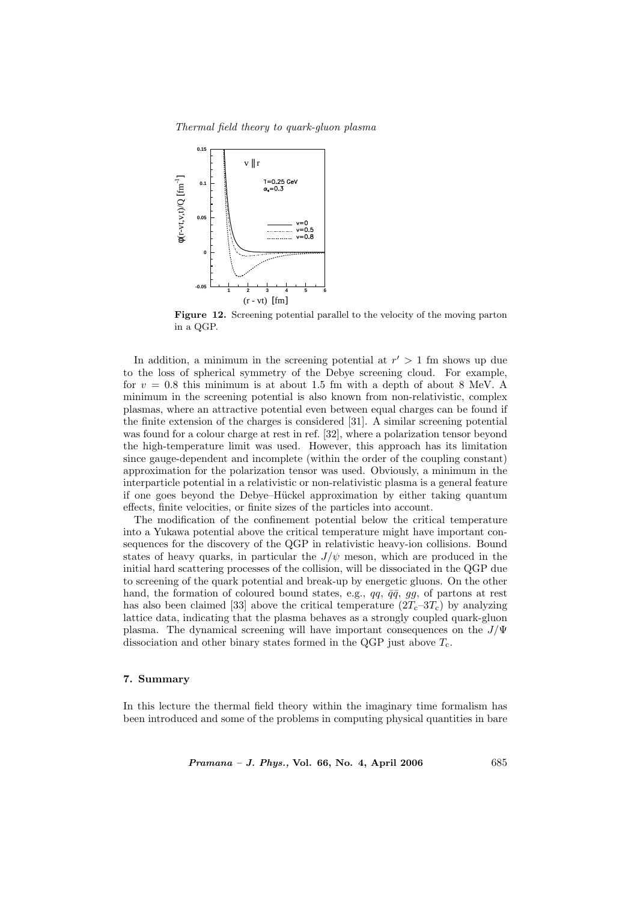Thermal field theory to quark-gluon plasma



Figure 12. Screening potential parallel to the velocity of the moving parton in a QGP.

In addition, a minimum in the screening potential at  $r' > 1$  fm shows up due to the loss of spherical symmetry of the Debye screening cloud. For example, for  $v = 0.8$  this minimum is at about 1.5 fm with a depth of about 8 MeV. A minimum in the screening potential is also known from non-relativistic, complex plasmas, where an attractive potential even between equal charges can be found if the finite extension of the charges is considered [31]. A similar screening potential was found for a colour charge at rest in ref. [32], where a polarization tensor beyond the high-temperature limit was used. However, this approach has its limitation since gauge-dependent and incomplete (within the order of the coupling constant) approximation for the polarization tensor was used. Obviously, a minimum in the interparticle potential in a relativistic or non-relativistic plasma is a general feature if one goes beyond the Debye–Hückel approximation by either taking quantum effects, finite velocities, or finite sizes of the particles into account.

The modification of the confinement potential below the critical temperature into a Yukawa potential above the critical temperature might have important consequences for the discovery of the QGP in relativistic heavy-ion collisions. Bound states of heavy quarks, in particular the  $J/\psi$  meson, which are produced in the initial hard scattering processes of the collision, will be dissociated in the QGP due to screening of the quark potential and break-up by energetic gluons. On the other hand, the formation of coloured bound states, e.g.,  $qq, \bar{q}\bar{q}, gg,$  of partons at rest has also been claimed [33] above the critical temperature  $(2T_c-3T_c)$  by analyzing lattice data, indicating that the plasma behaves as a strongly coupled quark-gluon plasma. The dynamical screening will have important consequences on the  $J/\Psi$ dissociation and other binary states formed in the QGP just above  $T_c$ .

# 7. Summary

In this lecture the thermal field theory within the imaginary time formalism has been introduced and some of the problems in computing physical quantities in bare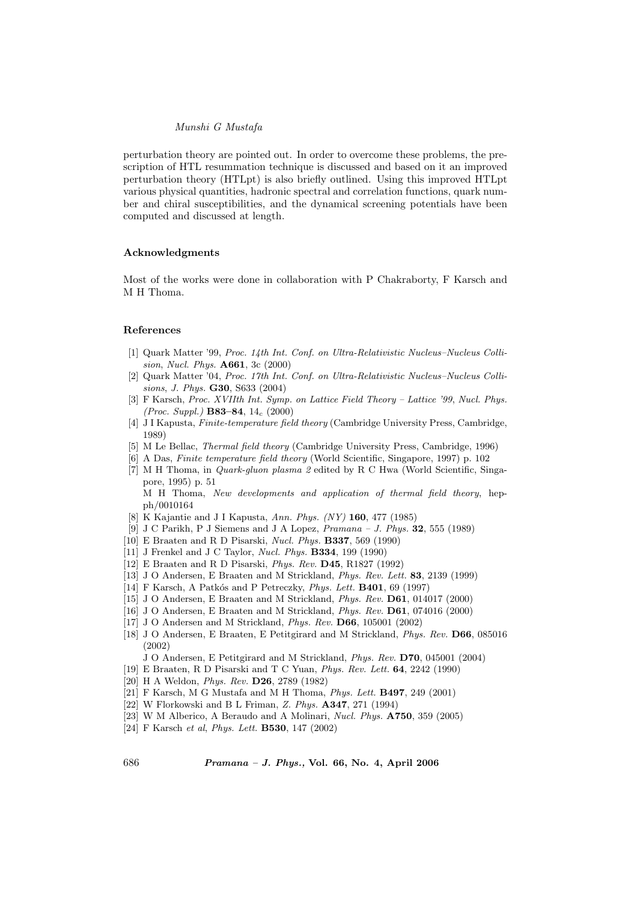perturbation theory are pointed out. In order to overcome these problems, the prescription of HTL resummation technique is discussed and based on it an improved perturbation theory (HTLpt) is also briefly outlined. Using this improved HTLpt various physical quantities, hadronic spectral and correlation functions, quark number and chiral susceptibilities, and the dynamical screening potentials have been computed and discussed at length.

# Acknowledgments

Most of the works were done in collaboration with P Chakraborty, F Karsch and M H Thoma.

#### References

- [1] Quark Matter '99, Proc. 14th Int. Conf. on Ultra-Relativistic Nucleus–Nucleus Collision, Nucl. Phys. A661, 3c (2000)
- [2] Quark Matter '04, Proc. 17th Int. Conf. on Ultra-Relativistic Nucleus–Nucleus Collisions, J. Phys. G30, S633 (2004)
- [3] F Karsch, Proc. XVIIth Int. Symp. on Lattice Field Theory Lattice '99, Nucl. Phys. (*Proc. Suppl.*) **B83–84**,  $14_c$  (2000)
- [4] J I Kapusta, Finite-temperature field theory (Cambridge University Press, Cambridge, 1989)
- [5] M Le Bellac, Thermal field theory (Cambridge University Press, Cambridge, 1996)
- [6] A Das, Finite temperature field theory (World Scientific, Singapore, 1997) p. 102
- [7] M H Thoma, in Quark-gluon plasma 2 edited by R C Hwa (World Scientific, Singapore, 1995) p. 51

M H Thoma, New developments and application of thermal field theory, hepph/0010164

- [8] K Kajantie and J I Kapusta, Ann. Phys. (NY) 160, 477 (1985)
- [9] J C Parikh, P J Siemens and J A Lopez,  $Pramana J$ . Phys. **32**, 555 (1989)
- [10] E Braaten and R D Pisarski, Nucl. Phys. B337, 569 (1990)
- [11] J Frenkel and J C Taylor, *Nucl. Phys.* **B334**, 199 (1990)
- [12] E Braaten and R D Pisarski, Phys. Rev. D45, R1827 (1992)
- [13] J O Andersen, E Braaten and M Strickland, Phys. Rev. Lett. 83, 2139 (1999)
- [14] F Karsch, A Patkós and P Petreczky, *Phys. Lett.* **B401**, 69 (1997)
- [15] J O Andersen, E Braaten and M Strickland, Phys. Rev. D61, 014017 (2000)
- [16] J O Andersen, E Braaten and M Strickland, Phys. Rev. D61, 074016 (2000)
- [17] J O Andersen and M Strickland, Phys. Rev. D66, 105001 (2002)
- [18] J O Andersen, E Braaten, E Petitgirard and M Strickland, Phys. Rev. D66, 085016 (2002)
	- J O Andersen, E Petitgirard and M Strickland, Phys. Rev. D70, 045001 (2004)
- [19] E Braaten, R D Pisarski and T C Yuan, Phys. Rev. Lett. 64, 2242 (1990)
- [20] H A Weldon, Phys. Rev. D26, 2789 (1982)
- [21] F Karsch, M G Mustafa and M H Thoma, Phys. Lett. B497, 249 (2001)
- [22] W Florkowski and B L Friman, Z. Phys. A347, 271 (1994)
- [23] W M Alberico, A Beraudo and A Molinari, Nucl. Phys. **A750**, 359 (2005)
- [24] F Karsch et al, Phys. Lett. B530, 147 (2002)